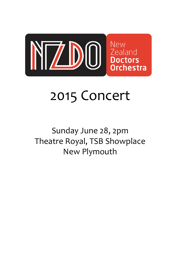

# 2015 Concert

# Sunday June 28, 2pm Theatre Royal, TSB Showplace New Plymouth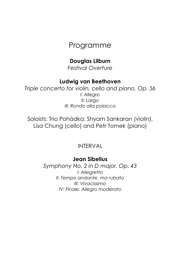# Programme

# Douglas Lilburn

Festival Overture

# Ludwig van Beethoven

Triple concerto for violin, cello and piano, Op. 56 I: Allegro II: Largo III: Rondo alla polacca

Soloists: Trio Pohádka: Shyam Sankaran (violin), Lisa Chung (cello) and Petr Tomek (piano)

# INTERVAL

# Jean Sibelius

Symphony No. 2 in D major, Op. 43 I: Allegretto II: Tempo andante, ma rubato III: Vivacissimo IV: Finale: Allegro moderato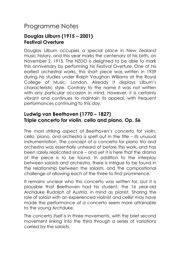# Programme Notes

## Douglas Lilburn (1915 – 2001) Festival Overture

Douglas Lilburn occupies a special place in New Zealand music history, and this year marks the centenary of his birth, on November 2, 1915. The NZDO is delighted to be able to mark this anniversary by performing his Festival Overture. One of his earliest orchestral works, this short piece was written in 1939 during his studies under Ralph Vaughan Williams at the Royal College of Music, London. Already it displays Lilburn's characteristic style. Contrary to the name it was not written with any particular occasion in mind. However, it is certainly vibrant and continues to maintain its appeal, with frequent performances continuing to this day.

# Ludwig van Beethoven (1770 – 1827) Triple concerto for violin, cello and piano, Op. 56

The most striking aspect of Beethoven's concerto for violin, cello, piano, and orchestra is spelt out in the title – its unusual instrumentation. The concept of a concerto for piano trio and orchestra was essentially unheard of before this work, and has been rarely replicated since – and yet it is here that the drama of the piece is to be found. In addition to the interplay between soloists and orchestra, there is intrigue to be found in the relationship between the soloists, and the compositional challenge of allowing each of the three to find prominence.

It remains unclear who this concerto was written for, but it is plausible that Beethoven had his student, the 16 year-old Archduke Rudolph of Austria, in mind as pianist. Sharing the role of soloist with an experienced violinist and cellist may have made the performance of a concerto seem more attainable to the young Archduke.

The concerto itself is in three movements, with the brief second movement linking into the third through a series of variations carried by the soloists.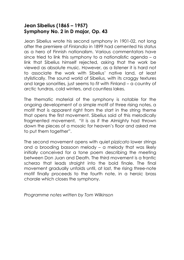## Jean Sibelius (1865 – 1957) Symphony No. 2 in D major, Op. 43

Jean Sibelius wrote his second symphony in 1901-02, not long after the premiere of Finlandia in 1899 had cemented his status as a hero of Finnish nationalism. Various commentators have since tried to link this symphony to a nationalistic agenda – a link that Sibelius himself rejected, asking that the work be viewed as absolute music. However, as a listener it is hard not to associate the work with Sibelius' native land, at least stylistically. The sound world of Sibelius, with its craggy textures and large sonorities, just seems to fit with Finland – a country of arctic tundras, cold winters, and countless lakes.

The thematic material of the symphony is notable for the ongoing development of a simple motif of three rising notes, a motif that is apparent right from the start in the string theme that opens the first movement. Sibelius said of this melodically fragmented movement, "it is as if the Almighty had thrown down the pieces of a mosaic for heaven's floor and asked me to put them together".

The second movement opens with quiet pizzicato lower strings and a brooding bassoon melody – a melody that was likely initially conceived for a tone poem describing the meeting between Don Juan and Death. The third movement is a frantic scherzo that leads straight into the bold finale. The final movement gradually unfolds until, at last, the rising three-note motif finally proceeds to the fourth note, in a heroic brass chorale which closes the symphony.

Programme notes written by Tom Wilkinson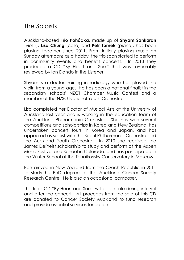# The Soloists

Auckland-based Trio Pohádka, made up of Shyam Sankaran (violin), Lisa Chung (cello) and Petr Tomek (piano), has been playing together since 2011. From initially playing music on Sunday afternoons as a hobby, the trio soon started to perform in community events and benefit concerts. In 2013 they produced a CD "By Heart and Soul" that was favourably reviewed by Ian Dando in the Listener.

Shyam is a doctor training in radiology who has played the violin from a young age. He has been a national finalist in the secondary schools' NZCT Chamber Music Contest and a member of the NZSO National Youth Orchestra.

Lisa completed her Doctor of Musical Arts at the University of Auckland last year and is working in the education team of the Auckland Philharmonia Orchestra. She has won several competitions and scholarships in Korea and New Zealand, has undertaken concert tours in Korea and Japan, and has appeared as soloist with the Seoul Philharmonic Orchestra and the Auckland Youth Orchestra. In 2010 she received the James DePreist scholarship to study and perform at the Aspen Music Festival and School in Colorado, and has participated in the Winter School at the Tchaikovsky Conservatory in Moscow.

Petr arrived in New Zealand from the Czech Republic in 2011 to study his PhD degree at the Auckland Cancer Society Research Centre. He is also an occasional composer.

The trio's CD "By Heart and Soul" will be on sale during interval and after the concert. All proceeds from the sale of this CD are donated to Cancer Society Auckland to fund research and provide essential services for patients.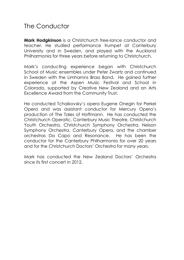# The Conductor

Mark Hodgkinson is a Christchurch free-lance conductor and teacher. He studied performance trumpet at Canterbury University and in Sweden, and played with the Auckland Philharmonia for three years before returning to Christchurch.

Mark's conducting experience began with Christchurch School of Music ensembles under Peter Zwartz and continued in Sweden with the Limhamns Brass Band. He gained further experience at the Aspen Music Festival and School in Colorado, supported by Creative New Zealand and an Arts Excellence Award from the Community Trust.

He conducted Tchaikovsky's opera Eugene Onegin for Perkel Opera and was assistant conductor for Mercury Opera's production of The Tales of Hoffmann. He has conducted the Christchurch Operatic, Canterbury Music Theatre, Christchurch Youth Orchestra, Christchurch Symphony Orchestra, Nelson Symphony Orchestra, Canterbury Opera, and the chamber orchestras Da Capo and Resonance. He has been the conductor for the Canterbury Philharmonia for over 20 years and for the Christchurch Doctors' Orchestra for many years.

Mark has conducted the New Zealand Doctors' Orchestra since its first concert in 2012.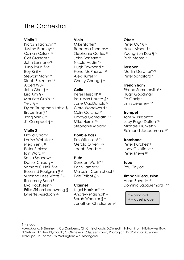# The Orchestra

#### Violin 1

Kiarash Taghavi\* W Justine Bradley Ch Osman Ozturk HB Cat Graham Ra John Lennane<sup>Th</sup> Juno Pyun § Ch Roy Knill A Stewart Mann<sup>w</sup> Steph Buzzard+ HB Albert Wu A John Choi § A Eric Kim § D Maurice Orpin Wh Ye Li  $\S$  A Dylan Truppman Lattie  $\S$ <sup>D</sup> Bruce Tsai  $\S$   $\wedge$ Jong Shin  $\S$ <sup>D</sup> Jill Campbell § A

#### Violin 2

David Choi\* A Louise Webster<sup>A</sup> Meg Yen §<sup>D</sup> Peter Stokes<sup>o</sup> Iain Ward Ch Sonja Sparrow<sup>Q</sup> Daniel Chiou § A Samara O'Neill § Ch Rosalind Poulgrain  $\S$ <sup>w</sup> Susanna Lees Watts  $\S$ <sup>A</sup> Rosemary Bond<sup>Ro</sup> Eva Hochstein A Erika Sirisomboonwong § <sup>ch</sup> Nigel Harrison\* <sup>wh</sup> Lynette Murdoch Ch

#### Viola

Mike Slatter\*<sup>H</sup> Rebecca Thomas<sup>N</sup> Stephanie Cortesi<sup>H</sup> John Bonifant<sup>w</sup> Nicola Austin Ch Hugh Townend  $W$ Fiona McPherson  $\circ$ Alex Hurrell Ch Cherry Chang  $\S$   $\wedge$ 

#### Cello

Peter Fleischl<sup>\* Ta</sup> Paul Van Houtte §<sup>A</sup> Jane MacDonald W Clare Woodward A Colin Calcinai<sup>w</sup> Umaya Gamalath  $\S$ <sup>D</sup> Mike Hurrell Ch Stephanie Moor<sup>ch</sup>

#### Double bass

Tim Wilkinson\* Ch Gerald Oliver+ Ch Jacob Bond+ NP

#### Flute

Duncan Watts\*<sup>D</sup> Karin Lamb<sup>\* Ch</sup> Malcolm Carmichael<sup>H</sup> Evie Talbot & A

#### Clarinet

Andrew Marshall\*<sup>W</sup> Sarah Wheeler  $\S$ <sup>w</sup> Jonathan Christiansen A

#### Oboe

Peter Ou\*  $§$  A Hazel Nissen & D Young-Eun Koo § A Ruth Moore B

#### Bassoon

Martin Gardner<sup>\* Ch</sup> Peter Sandiford<sup>A</sup>

#### French horn

Rhona Sommerville\*<sup>A</sup> Hugh Goodman<sup>H</sup> Ed Ganly<sup>H</sup> Jim Scrivener+ NP

#### **Trumpet**

Tom Wilkinson\* HB Lucy Page-Dalton Ch Michael Plunkett<sup>A</sup> Raimond Jacquemard NP

#### Trombone

Peter Purches\*s Jody Christian+<sup>H</sup> Peter Mews Ca

#### Tuba Paul Taylor<sup>N</sup>

#### Timpani/Percussion

Anne Bovett+ NP Dominic Jacquemard+ NP

> \* = principal + = guest player

#### $§ = student$

A:Auckland; B:Blenheim; Ca:Canberra; Ch:Christchurch; D:Dunedin; H:Hamilton; HB:Hawkes Bay; N:Nelson; NP:New Plymouth; O:Ohinewai; Q:Queenstown; Ra:Raglan; Ro:Rotorua; S:Sydney; Ta:Taupo; Th:Thames; W:Wellington; Wh:Whangarei